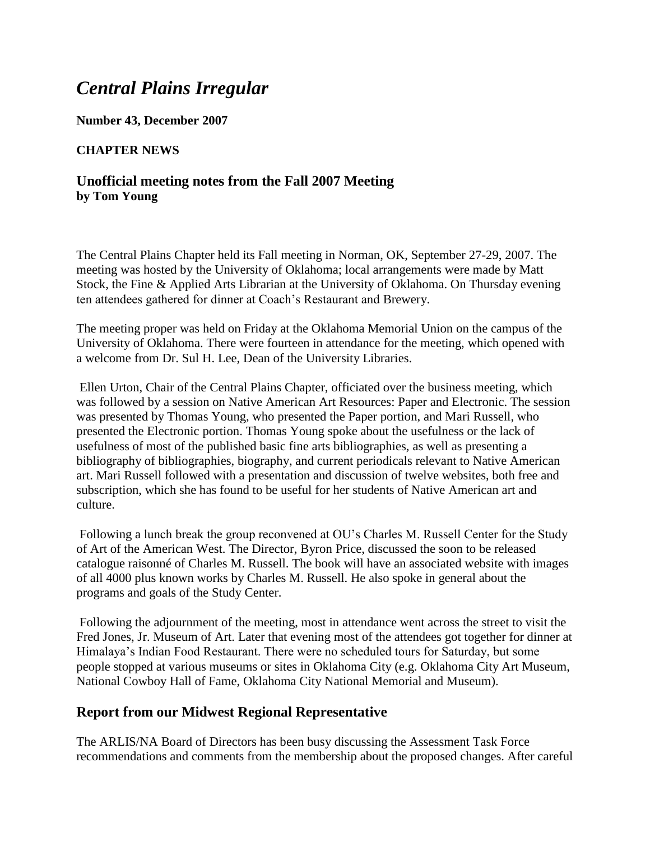# *Central Plains Irregular*

**Number 43, December 2007**

#### **CHAPTER NEWS**

### **Unofficial meeting notes from the Fall 2007 Meeting by Tom Young**

The Central Plains Chapter held its Fall meeting in Norman, OK, September 27-29, 2007. The meeting was hosted by the University of Oklahoma; local arrangements were made by Matt Stock, the Fine & Applied Arts Librarian at the University of Oklahoma. On Thursday evening ten attendees gathered for dinner at Coach's Restaurant and Brewery.

The meeting proper was held on Friday at the Oklahoma Memorial Union on the campus of the University of Oklahoma. There were fourteen in attendance for the meeting, which opened with a welcome from Dr. Sul H. Lee, Dean of the University Libraries.

Ellen Urton, Chair of the Central Plains Chapter, officiated over the business meeting, which was followed by a session on Native American Art Resources: Paper and Electronic. The session was presented by Thomas Young, who presented the Paper portion, and Mari Russell, who presented the Electronic portion. Thomas Young spoke about the usefulness or the lack of usefulness of most of the published basic fine arts bibliographies, as well as presenting a bibliography of bibliographies, biography, and current periodicals relevant to Native American art. Mari Russell followed with a presentation and discussion of twelve websites, both free and subscription, which she has found to be useful for her students of Native American art and culture.

Following a lunch break the group reconvened at OU's Charles M. Russell Center for the Study of Art of the American West. The Director, Byron Price, discussed the soon to be released catalogue raisonné of Charles M. Russell. The book will have an associated website with images of all 4000 plus known works by Charles M. Russell. He also spoke in general about the programs and goals of the Study Center.

Following the adjournment of the meeting, most in attendance went across the street to visit the Fred Jones, Jr. Museum of Art. Later that evening most of the attendees got together for dinner at Himalaya's Indian Food Restaurant. There were no scheduled tours for Saturday, but some people stopped at various museums or sites in Oklahoma City (e.g. Oklahoma City Art Museum, National Cowboy Hall of Fame, Oklahoma City National Memorial and Museum).

### **Report from our Midwest Regional Representative**

The ARLIS/NA Board of Directors has been busy discussing the Assessment Task Force recommendations and comments from the membership about the proposed changes. After careful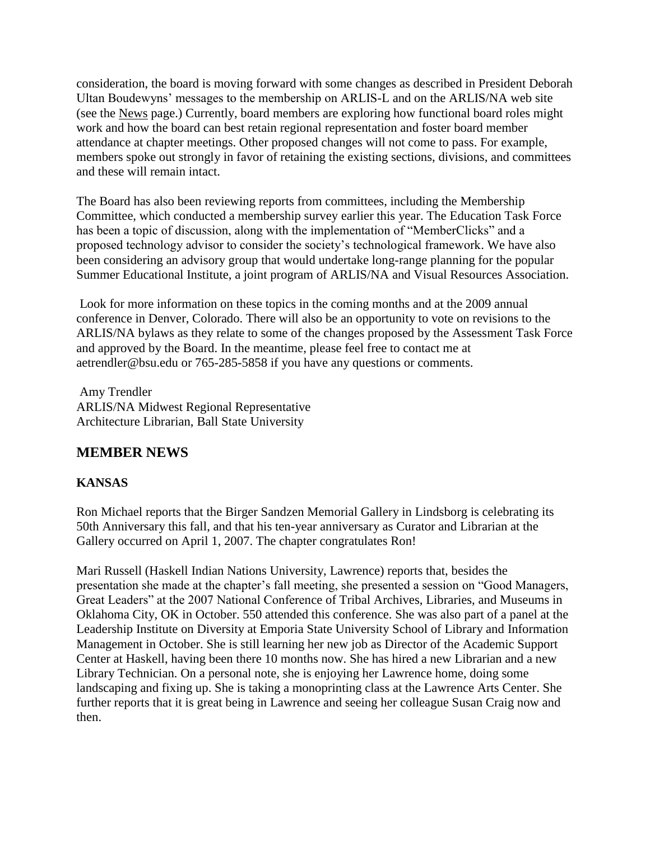consideration, the board is moving forward with some changes as described in President Deborah Ultan Boudewyns' messages to the membership on ARLIS-L and on the ARLIS/NA web site (see the [News](http://www.arlisna.org/news/news_index.html) page.) Currently, board members are exploring how functional board roles might work and how the board can best retain regional representation and foster board member attendance at chapter meetings. Other proposed changes will not come to pass. For example, members spoke out strongly in favor of retaining the existing sections, divisions, and committees and these will remain intact.

The Board has also been reviewing reports from committees, including the Membership Committee, which conducted a membership survey earlier this year. The Education Task Force has been a topic of discussion, along with the implementation of "MemberClicks" and a proposed technology advisor to consider the society's technological framework. We have also been considering an advisory group that would undertake long-range planning for the popular Summer Educational Institute, a joint program of ARLIS/NA and Visual Resources Association.

Look for more information on these topics in the coming months and at the 2009 annual conference in Denver, Colorado. There will also be an opportunity to vote on revisions to the ARLIS/NA bylaws as they relate to some of the changes proposed by the Assessment Task Force and approved by the Board. In the meantime, please feel free to contact me at aetrendler@bsu.edu or 765-285-5858 if you have any questions or comments.

Amy Trendler ARLIS/NA Midwest Regional Representative Architecture Librarian, Ball State University

## **MEMBER NEWS**

### **KANSAS**

Ron Michael reports that the Birger Sandzen Memorial Gallery in Lindsborg is celebrating its 50th Anniversary this fall, and that his ten-year anniversary as Curator and Librarian at the Gallery occurred on April 1, 2007. The chapter congratulates Ron!

Mari Russell (Haskell Indian Nations University, Lawrence) reports that, besides the presentation she made at the chapter's fall meeting, she presented a session on "Good Managers, Great Leaders" at the 2007 National Conference of Tribal Archives, Libraries, and Museums in Oklahoma City, OK in October. 550 attended this conference. She was also part of a panel at the Leadership Institute on Diversity at Emporia State University School of Library and Information Management in October. She is still learning her new job as Director of the Academic Support Center at Haskell, having been there 10 months now. She has hired a new Librarian and a new Library Technician. On a personal note, she is enjoying her Lawrence home, doing some landscaping and fixing up. She is taking a monoprinting class at the Lawrence Arts Center. She further reports that it is great being in Lawrence and seeing her colleague Susan Craig now and then.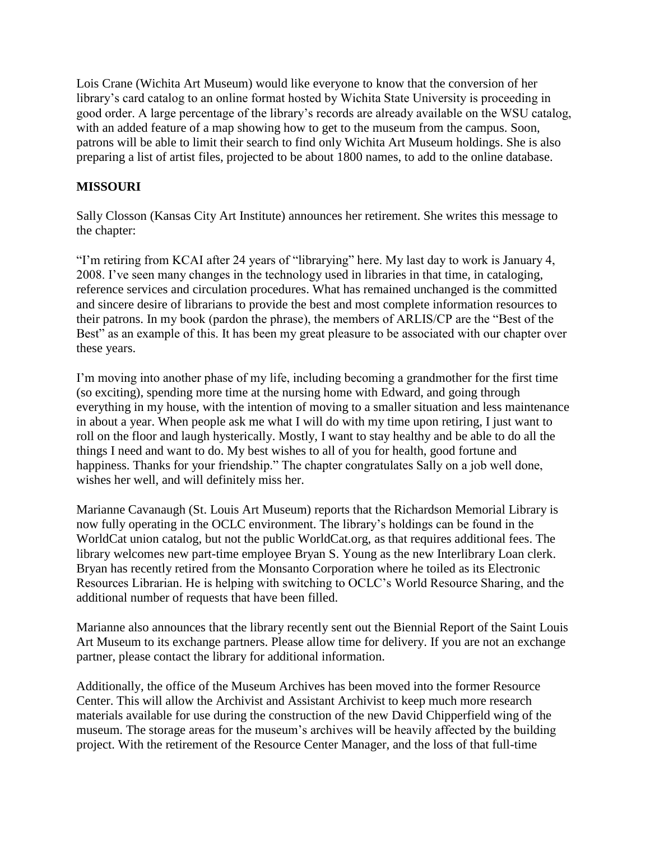Lois Crane (Wichita Art Museum) would like everyone to know that the conversion of her library's card catalog to an online format hosted by Wichita State University is proceeding in good order. A large percentage of the library's records are already available on the WSU catalog, with an added feature of a map showing how to get to the museum from the campus. Soon, patrons will be able to limit their search to find only Wichita Art Museum holdings. She is also preparing a list of artist files, projected to be about 1800 names, to add to the online database.

### **MISSOURI**

Sally Closson (Kansas City Art Institute) announces her retirement. She writes this message to the chapter:

"I'm retiring from KCAI after 24 years of "librarying" here. My last day to work is January 4, 2008. I've seen many changes in the technology used in libraries in that time, in cataloging, reference services and circulation procedures. What has remained unchanged is the committed and sincere desire of librarians to provide the best and most complete information resources to their patrons. In my book (pardon the phrase), the members of ARLIS/CP are the "Best of the Best" as an example of this. It has been my great pleasure to be associated with our chapter over these years.

I'm moving into another phase of my life, including becoming a grandmother for the first time (so exciting), spending more time at the nursing home with Edward, and going through everything in my house, with the intention of moving to a smaller situation and less maintenance in about a year. When people ask me what I will do with my time upon retiring, I just want to roll on the floor and laugh hysterically. Mostly, I want to stay healthy and be able to do all the things I need and want to do. My best wishes to all of you for health, good fortune and happiness. Thanks for your friendship." The chapter congratulates Sally on a job well done, wishes her well, and will definitely miss her.

Marianne Cavanaugh (St. Louis Art Museum) reports that the Richardson Memorial Library is now fully operating in the OCLC environment. The library's holdings can be found in the WorldCat union catalog, but not the public WorldCat.org, as that requires additional fees. The library welcomes new part-time employee Bryan S. Young as the new Interlibrary Loan clerk. Bryan has recently retired from the Monsanto Corporation where he toiled as its Electronic Resources Librarian. He is helping with switching to OCLC's World Resource Sharing, and the additional number of requests that have been filled.

Marianne also announces that the library recently sent out the Biennial Report of the Saint Louis Art Museum to its exchange partners. Please allow time for delivery. If you are not an exchange partner, please contact the library for additional information.

Additionally, the office of the Museum Archives has been moved into the former Resource Center. This will allow the Archivist and Assistant Archivist to keep much more research materials available for use during the construction of the new David Chipperfield wing of the museum. The storage areas for the museum's archives will be heavily affected by the building project. With the retirement of the Resource Center Manager, and the loss of that full-time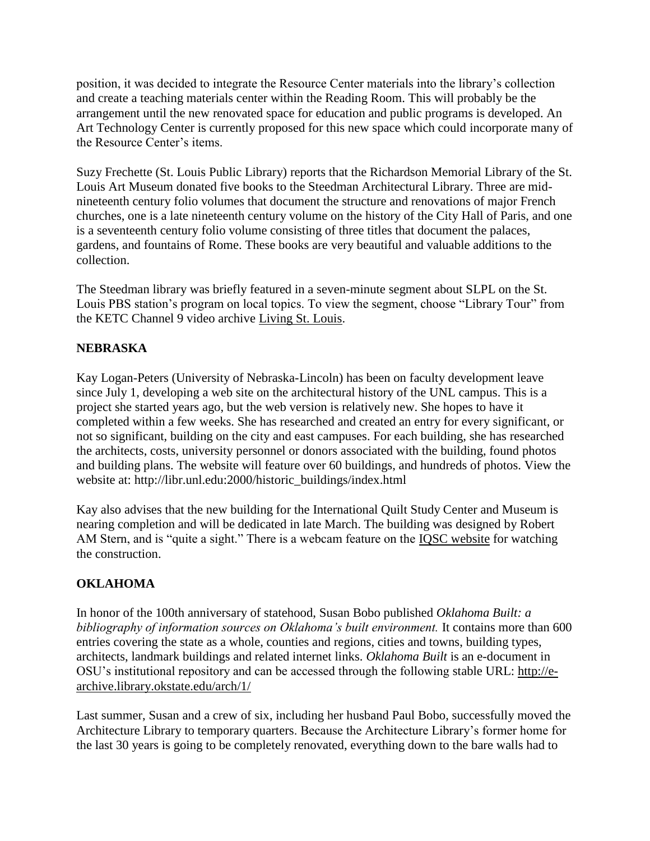position, it was decided to integrate the Resource Center materials into the library's collection and create a teaching materials center within the Reading Room. This will probably be the arrangement until the new renovated space for education and public programs is developed. An Art Technology Center is currently proposed for this new space which could incorporate many of the Resource Center's items.

Suzy Frechette (St. Louis Public Library) reports that the Richardson Memorial Library of the St. Louis Art Museum donated five books to the Steedman Architectural Library. Three are midnineteenth century folio volumes that document the structure and renovations of major French churches, one is a late nineteenth century volume on the history of the City Hall of Paris, and one is a seventeenth century folio volume consisting of three titles that document the palaces, gardens, and fountains of Rome. These books are very beautiful and valuable additions to the collection.

The Steedman library was briefly featured in a seven-minute segment about SLPL on the St. Louis PBS station's program on local topics. To view the segment, choose "Library Tour" from the KETC Channel 9 video archive [Living St. Louis.](http://www.ketc.org/productions/productions_livingSTL_videoArchive.asp#recent)

### **NEBRASKA**

Kay Logan-Peters (University of Nebraska-Lincoln) has been on faculty development leave since July 1, developing a web site on the architectural history of the UNL campus. This is a project she started years ago, but the web version is relatively new. She hopes to have it completed within a few weeks. She has researched and created an entry for every significant, or not so significant, building on the city and east campuses. For each building, she has researched the architects, costs, university personnel or donors associated with the building, found photos and building plans. The website will feature over 60 buildings, and hundreds of photos. View the website at: http://libr.unl.edu:2000/historic\_buildings/index.html

Kay also advises that the new building for the International Quilt Study Center and Museum is nearing completion and will be dedicated in late March. The building was designed by Robert AM Stern, and is "quite a sight." There is a webcam feature on the [IQSC website](http://www.quiltstudy.org/) for watching the construction.

### **OKLAHOMA**

In honor of the 100th anniversary of statehood, Susan Bobo published *Oklahoma Built: a bibliography of information sources on Oklahoma's built environment.* It contains more than 600 entries covering the state as a whole, counties and regions, cities and towns, building types, architects, landmark buildings and related internet links. *Oklahoma Built* is an e-document in OSU's institutional repository and can be accessed through the following stable URL: [http://e](http://e-archive.library.okstate.edu/arch/1/)[archive.library.okstate.edu/arch/1/](http://e-archive.library.okstate.edu/arch/1/)

Last summer, Susan and a crew of six, including her husband Paul Bobo, successfully moved the Architecture Library to temporary quarters. Because the Architecture Library's former home for the last 30 years is going to be completely renovated, everything down to the bare walls had to